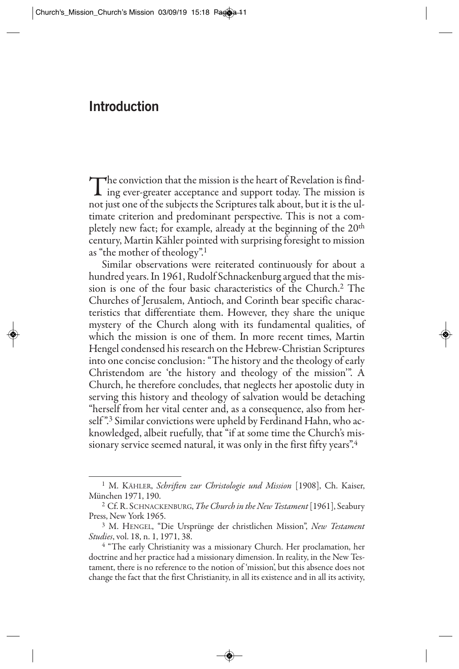## **Introduction**

The conviction that the mission is the heart of Revelation is find-<br>ing ever-greater acceptance and support today. The mission is<br>motivate and of the subjects the Serinteens tells about but it is the sul not just one of the subjects the Scriptures talk about, but it is the ultimate criterion and predominant perspective. This is not a completely new fact; for example, already at the beginning of the 20<sup>th</sup> century, Martin Kähler pointed with surprising foresight to mission as "the mother of theology".1

Similar observations were reiterated continuously for about a hundred years. In 1961, Rudolf Schnackenburg argued that the mission is one of the four basic characteristics of the Church.2 The Churches of Jerusalem, Antioch, and Corinth bear specific characteristics that differentiate them. However, they share the unique mystery of the Church along with its fundamental qualities, of which the mission is one of them. In more recent times, Martin Hengel condensed his research on the Hebrew-Christian Scriptures into one concise conclusion: "The history and the theology of early Christendom are 'the history and theology of the mission'". A Church, he therefore concludes, that neglects her apostolic duty in serving this history and theology of salvation would be detaching "herself from her vital center and, as a consequence, also from herself".<sup>3</sup> Similar convictions were upheld by Ferdinand Hahn, who acknowledged, albeit ruefully, that "if at some time the Church's missionary service seemed natural, it was only in the first fifty years".<sup>4</sup>

<sup>1</sup> M. KÄHLER, *Schriften zur Christologie und Mission* [1908], Ch. Kaiser, München 1971, 190.

<sup>2</sup> Cf. R. SCHNACKENBURG, *The Church in the New Testament*[1961], Seabury Press, New York 1965.

<sup>3</sup> M. HENGEL, "Die Ursprünge der christlichen Mission", *New Testament Studies*, vol. 18, n. 1, 1971, 38.

<sup>&</sup>lt;sup>4</sup> "The early Christianity was a missionary Church. Her proclamation, her doctrine and her practice had a missionary dimension. In reality, in the New Testament, there is no reference to the notion of 'mission', but this absence does not change the fact that the first Christianity, in all its existence and in all its activity,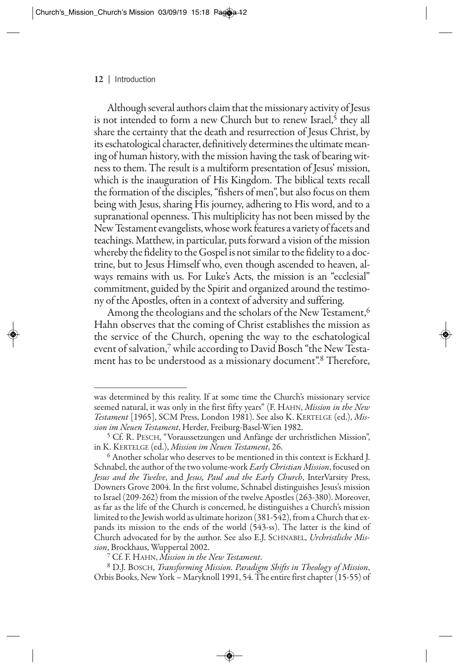## **12** | Introduction

Although several authors claim that the missionary activity of Jesus is not intended to form a new Church but to renew Israel, $\frac{5}{3}$  they all share the certainty that the death and resurrection of Jesus Christ, by its eschatological character, definitively determines the ultimate meaning of human history, with the mission having the task of bearing witness to them. The result is a multiform presentation of Jesus' mission, which is the inauguration of His Kingdom. The biblical texts recall the formation of the disciples, "fishers of men", but also focus on them being with Jesus, sharing His journey, adhering to His word, and to a supranational openness. This multiplicity has not been missed by the New Testament evangelists, whose work features a variety of facets and teachings. Matthew, in particular, puts forward a vision of the mission whereby the fidelity to the Gospel is not similar to the fidelity to a doctrine, but to Jesus Himself who, even though ascended to heaven, always remains with us. For Luke's Acts, the mission is an "ecclesial" commitment, guided by the Spirit and organized around the testimony of the Apostles, often in a context of adversity and suffering.

Among the theologians and the scholars of the New Testament,<sup>6</sup> Hahn observes that the coming of Christ establishes the mission as the service of the Church, opening the way to the eschatological event of salvation,7 while according to David Bosch "the New Testament has to be understood as a missionary document".8 Therefore,

was determined by this reality. If at some time the Church's missionary service seemed natural, it was only in the first fifty years" (F. HAHN, *Mission in the New Testament* [1965], SCM Press, London 1981). See also K. KERTELGE (ed.), *Mission im Neuen Testament*, Herder, Freiburg-Basel-Wien 1982.

<sup>5</sup> Cf. R. PESCH, "Voraussetzungen und Anfänge der urchristlichen Mission", in K. KERTELGE (ed.), *Mission im Neuen Testament*, 26.

<sup>6</sup> Another scholar who deserves to be mentioned in this context is Eckhard J. Schnabel, the author of the two volume-work *Early Christian Mission*, focused on *Jesus and the Twelve*, and *Jesus, Paul and the Early Church*, InterVarsity Press, Downers Grove 2004. In the first volume, Schnabel distinguishes Jesus's mission to Israel (209-262) from the mission of the twelve Apostles (263-380). Moreover, as far as the life of the Church is concerned, he distinguishes a Church's mission limited to the Jewish world as ultimate horizon (381-542), from a Church that expands its mission to the ends of the world (543-ss). The latter is the kind of Church advocated for by the author. See also E.J. SCHNABEL, *Urchristliche Mission*, Brockhaus, Wuppertal 2002.

<sup>7</sup> Cf. F. HAHN, *Mission in the New Testament*.

<sup>8</sup> D.J. BOSCH, *Transforming Mission. Paradigm Shifts in Theology of Mission*, Orbis Books, New York – Maryknoll 1991, 54. The entire first chapter (15-55) of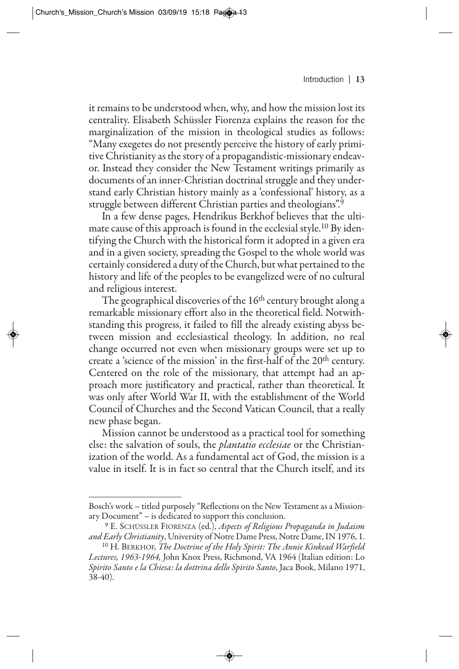it remains to be understood when, why, and how the mission lost its centrality. Elisabeth Schüssler Fiorenza explains the reason for the marginalization of the mission in theological studies as follows: "Many exegetes do not presently perceive the history of early primitive Christianity as the story of a propagandistic-missionary endeavor. Instead they consider the New Testament writings primarily as documents of an inner-Christian doctrinal struggle and they understand early Christian history mainly as a 'confessional' history, as a struggle between different Christian parties and theologians".9

In a few dense pages, Hendrikus Berkhof believes that the ultimate cause of this approach is found in the ecclesial style.10 By identifying the Church with the historical form it adopted in a given era and in a given society, spreading the Gospel to the whole world was certainly considered a duty of the Church, but what pertained to the history and life of the peoples to be evangelized were of no cultural and religious interest.

The geographical discoveries of the 16<sup>th</sup> century brought along a remarkable missionary effort also in the theoretical field. Notwithstanding this progress, it failed to fill the already existing abyss between mission and ecclesiastical theology. In addition, no real change occurred not even when missionary groups were set up to create a 'science of the mission' in the first-half of the 20th century. Centered on the role of the missionary, that attempt had an approach more justificatory and practical, rather than theoretical. It was only after World War II, with the establishment of the World Council of Churches and the Second Vatican Council, that a really new phase began.

Mission cannot be understood as a practical tool for something else: the salvation of souls, the *plantatio ecclesiae* or the Christianization of the world. As a fundamental act of God, the mission is a value in itself. It is in fact so central that the Church itself, and its

Bosch's work – titled purposely "Reflections on the New Testament as a Missionary Document" – is dedicated to support this conclusion.

<sup>19</sup> E. SCHÜSSLER FIORENZA (ed.), *Aspects of Religious Propaganda in Judaism and Early Christianity*, University of Notre Dame Press, Notre Dame, IN 1976, 1.

<sup>10</sup> H. BERKHOF, *The Doctrine of the Holy Spirit: The Annie Kinkead Warfield Lectures, 1963-1964,* John Knox Press, Richmond, VA 1964 (Italian edition: Lo *Spirito Santo e la Chiesa: la dottrina dello Spirito Santo*, Jaca Book, Milano 1971, 38-40).